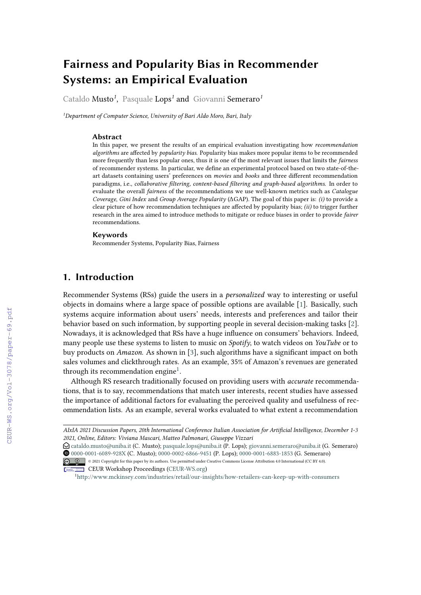# **Fairness and Popularity Bias in Recommender Systems: an Empirical Evaluation**

Cataldo Musto*<sup>1</sup>* , Pasquale Lops*<sup>1</sup>* and Giovanni Semeraro*<sup>1</sup>*

*<sup>1</sup>Department of Computer Science, University of Bari Aldo Moro, Bari, Italy*

#### **Abstract**

In this paper, we present the results of an empirical evaluation investigating how *recommendation algorithms* are affected by *popularity bias*. Popularity bias makes more popular items to be recommended more frequently than less popular ones, thus it is one of the most relevant issues that limits the *fairness* of recommender systems. In particular, we define an experimental protocol based on two state-of-theart datasets containing users' preferences on *movies* and *books* and three different recommendation paradigms, i.e., *collaborative filtering, content-based filtering and graph-based algorithms*. In order to evaluate the overall *fairness* of the recommendations we use well-known metrics such as *Catalogue Coverage*, *Gini Index* and *Group Average Popularity* (ΔGAP). The goal of this paper is: *(i)* to provide a clear picture of how recommendation techniques are affected by popularity bias; *(ii)* to trigger further research in the area aimed to introduce methods to mitigate or reduce biases in order to provide *fairer* recommendations.

### **Keywords**

Recommender Systems, Popularity Bias, Fairness

# **1. Introduction**

Recommender Systems (RSs) guide the users in a *personalized* way to interesting or useful objects in domains where a large space of possible options are available [\[1\]](#page--1-0). Basically, such systems acquire information about users' needs, interests and preferences and tailor their behavior based on such information, by supporting people in several decision-making tasks [\[2\]](#page--1-1). Nowadays, it is acknowledged that RSs have a huge influence on consumers' behaviors. Indeed, many people use these systems to listen to music on *Spotify*, to watch videos on *YouTube* or to buy products on *Amazon*. As shown in [\[3\]](#page--1-2), such algorithms have a significant impact on both sales volumes and clickthrough rates. As an example, 35% of Amazon's revenues are generated through its recommendation engine<sup>[1](#page-0-0)</sup>.

Although RS research traditionally focused on providing users with *accurate* recommendations, that is to say, recommendations that match user interests, recent studies have assessed the importance of additional factors for evaluating the perceived quality and usefulness of recommendation lists. As an example, several works evaluated to what extent a recommendation

*AIxIA 2021 Discussion Papers, 20th International Conference Italian Association for Artificial Intelligence, December 1-3 2021, Online, Editors: Viviana Mascari, Matteo Palmonari, Giuseppe Vizzari*

 $\bigcirc$  [cataldo.musto@uniba.it](mailto:cataldo.musto@uniba.it) (C. Musto); [pasquale.lops@uniba.it](mailto:pasquale.lops@uniba.it) (P. Lops); [giovanni.semeraro@uniba.it](mailto:giovanni.semeraro@uniba.it) (G. Semeraro) Orcid [0000-0001-6089-928X](https://orcid.org/0000-0001-6089-928X) (C. Musto); [0000-0002-6866-9451](https://orcid.org/0000-0002-6866-9451) (P. Lops); [0000-0001-6883-1853](https://orcid.org/0000-0001-6883-1853) (G. Semeraro)

<sup>© 2021</sup> Copyright for this paper by its authors. Use permitted under Creative Commons License Attribution 4.0 International (CC BY 4.0). CEUR Workshop [Proceedings](http://ceur-ws.org) [\(CEUR-WS.org\)](http://ceur-ws.org)

<span id="page-0-0"></span><sup>1</sup><http://www.mckinsey.com/industries/retail/our-insights/how-retailers-can-keep-up-with-consumers>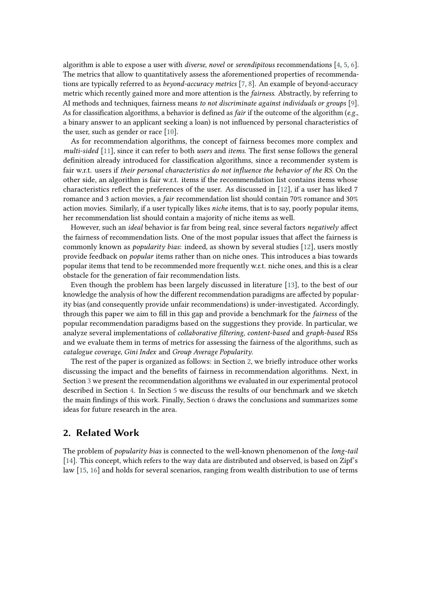algorithm is able to expose a user with *diverse*, *novel* or *serendipitous* recommendations [\[4,](#page-11-0) [5,](#page-11-1) [6\]](#page-11-2). The metrics that allow to quantitatively assess the aforementioned properties of recommendations are typically referred to as *beyond-accuracy metrics* [\[7,](#page-11-3) [8\]](#page-11-4). An example of beyond-accuracy metric which recently gained more and more attention is the *fairness*. Abstractly, by referring to AI methods and techniques, fairness means *to not discriminate against individuals or groups* [\[9\]](#page-11-5). As for classification algorithms, a behavior is defined as *fair* if the outcome of the algorithm (*e.g.*, a binary answer to an applicant seeking a loan) is not influenced by personal characteristics of the user, such as gender or race [\[10\]](#page-11-6).

As for recommendation algorithms, the concept of fairness becomes more complex and *multi-sided* [\[11\]](#page-11-7), since it can refer to both *users* and *items*. The first sense follows the general definition already introduced for classification algorithms, since a recommender system is fair w.r.t. users if *their personal characteristics do not influence the behavior of the RS*. On the other side, an algorithm is fair w.r.t. items if the recommendation list contains items whose characteristics reflect the preferences of the user. As discussed in [\[12\]](#page-11-8), if a user has liked 7 romance and 3 action movies, a *fair* recommendation list should contain 70% romance and 30% action movies. Similarly, if a user typically likes *niche* items, that is to say, poorly popular items, her recommendation list should contain a majority of niche items as well.

However, such an *ideal* behavior is far from being real, since several factors *negatively* affect the fairness of recommendation lists. One of the most popular issues that affect the fairness is commonly known as *popularity bias*: indeed, as shown by several studies [\[12\]](#page-11-8), users mostly provide feedback on *popular* items rather than on niche ones. This introduces a bias towards popular items that tend to be recommended more frequently w.r.t. niche ones, and this is a clear obstacle for the generation of fair recommendation lists.

Even though the problem has been largely discussed in literature [\[13\]](#page-12-0), to the best of our knowledge the analysis of how the different recommendation paradigms are affected by popularity bias (and consequently provide unfair recommendations) is under-investigated. Accordingly, through this paper we aim to fill in this gap and provide a benchmark for the *fairness* of the popular recommendation paradigms based on the suggestions they provide. In particular, we analyze several implementations of *collaborative filtering*, *content-based* and *graph-based* RSs and we evaluate them in terms of metrics for assessing the fairness of the algorithms, such as *catalogue coverage*, *Gini Index* and *Group Average Popularity*.

The rest of the paper is organized as follows: in Section [2,](#page-1-0) we briefly introduce other works discussing the impact and the benefits of fairness in recommendation algorithms. Next, in Section [3](#page-2-0) we present the recommendation algorithms we evaluated in our experimental protocol described in Section [4.](#page-4-0) In Section [5](#page-6-0) we discuss the results of our benchmark and we sketch the main findings of this work. Finally, Section [6](#page-10-0) draws the conclusions and summarizes some ideas for future research in the area.

### <span id="page-1-0"></span>**2. Related Work**

The problem of *popularity bias* is connected to the well-known phenomenon of the *long-tail* [\[14\]](#page-12-1). This concept, which refers to the way data are distributed and observed, is based on Zipf's law [\[15,](#page-12-2) [16\]](#page-12-3) and holds for several scenarios, ranging from wealth distribution to use of terms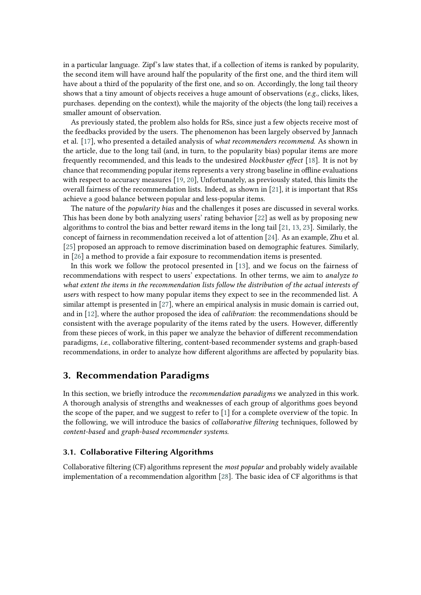in a particular language. Zipf's law states that, if a collection of items is ranked by popularity, the second item will have around half the popularity of the first one, and the third item will have about a third of the popularity of the first one, and so on. Accordingly, the long tail theory shows that a tiny amount of objects receives a huge amount of observations (*e.g.,* clicks, likes, purchases. depending on the context), while the majority of the objects (the long tail) receives a smaller amount of observation.

As previously stated, the problem also holds for RSs, since just a few objects receive most of the feedbacks provided by the users. The phenomenon has been largely observed by Jannach et al. [\[17\]](#page-12-4), who presented a detailed analysis of *what recommenders recommend*. As shown in the article, due to the long tail (and, in turn, to the popularity bias) popular items are more frequently recommended, and this leads to the undesired *blockbuster effect* [\[18\]](#page-12-5). It is not by chance that recommending popular items represents a very strong baseline in offline evaluations with respect to accuracy measures [\[19,](#page-12-6) [20\]](#page-12-7), Unfortunately, as previously stated, this limits the overall fairness of the recommendation lists. Indeed, as shown in [\[21\]](#page-12-8), it is important that RSs achieve a good balance between popular and less-popular items.

The nature of the *popularity bias* and the challenges it poses are discussed in several works. This has been done by both analyzing users' rating behavior [\[22\]](#page-12-9) as well as by proposing new algorithms to control the bias and better reward items in the long tail [\[21,](#page-12-8) [13,](#page-12-0) [23\]](#page-12-10). Similarly, the concept of fairness in recommendation received a lot of attention [\[24\]](#page-12-11). As an example, Zhu et al. [\[25\]](#page-12-12) proposed an approach to remove discrimination based on demographic features. Similarly, in [\[26\]](#page-12-13) a method to provide a fair exposure to recommendation items is presented.

In this work we follow the protocol presented in [\[13\]](#page-12-0), and we focus on the fairness of recommendations with respect to users' expectations. In other terms, we aim to *analyze to what extent the items in the recommendation lists follow the distribution of the actual interests of users* with respect to how many popular items they expect to see in the recommended list. A similar attempt is presented in [\[27\]](#page-12-14), where an empirical analysis in music domain is carried out, and in [\[12\]](#page-11-8), where the author proposed the idea of *calibration*: the recommendations should be consistent with the average popularity of the items rated by the users. However, differently from these pieces of work, in this paper we analyze the behavior of different recommendation paradigms, *i.e.*, collaborative filtering, content-based recommender systems and graph-based recommendations, in order to analyze how different algorithms are affected by popularity bias.

### <span id="page-2-0"></span>**3. Recommendation Paradigms**

In this section, we briefly introduce the *recommendation paradigms* we analyzed in this work. A thorough analysis of strengths and weaknesses of each group of algorithms goes beyond the scope of the paper, and we suggest to refer to [\[1\]](#page-11-9) for a complete overview of the topic. In the following, we will introduce the basics of *collaborative filtering* techniques, followed by *content-based* and *graph-based recommender systems*.

### **3.1. Collaborative Filtering Algorithms**

Collaborative filtering (CF) algorithms represent the *most popular* and probably widely available implementation of a recommendation algorithm [\[28\]](#page-12-15). The basic idea of CF algorithms is that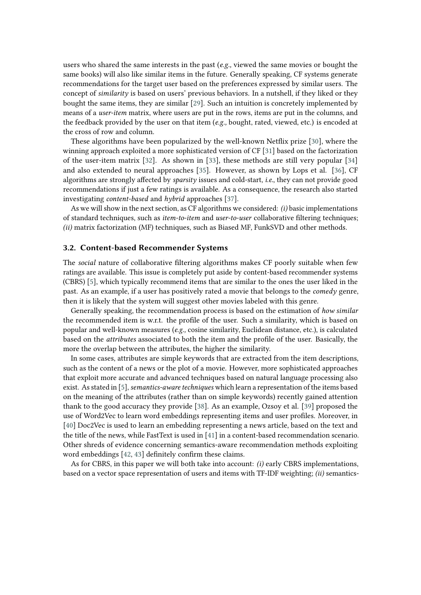users who shared the same interests in the past (*e.g.,* viewed the same movies or bought the same books) will also like similar items in the future. Generally speaking, CF systems generate recommendations for the target user based on the preferences expressed by similar users. The concept of *similarity* is based on users' previous behaviors. In a nutshell, if they liked or they bought the same items, they are similar [\[29\]](#page-12-16). Such an intuition is concretely implemented by means of a *user-item* matrix, where users are put in the rows, items are put in the columns, and the feedback provided by the user on that item (*e.g.,* bought, rated, viewed, etc.) is encoded at the cross of row and column.

These algorithms have been popularized by the well-known Netflix prize [\[30\]](#page-12-17), where the winning approach exploited a more sophisticated version of CF [\[31\]](#page-12-18) based on the factorization of the user-item matrix [\[32\]](#page-13-0). As shown in [\[33\]](#page-13-1), these methods are still very popular [\[34\]](#page-13-2) and also extended to neural approaches [\[35\]](#page-13-3). However, as shown by Lops et al. [\[36\]](#page-13-4), CF algorithms are strongly affected by *sparsity* issues and cold-start, *i.e.*, they can not provide good recommendations if just a few ratings is available. As a consequence, the research also started investigating *content-based* and *hybrid* approaches [\[37\]](#page-13-5).

As we will show in the next section, as CF algorithms we considered: *(i)* basic implementations of standard techniques, such as *item-to-item* and *user-to-user* collaborative filtering techniques; *(ii)* matrix factorization (MF) techniques, such as Biased MF, FunkSVD and other methods.

#### **3.2. Content-based Recommender Systems**

The *social* nature of collaborative filtering algorithms makes CF poorly suitable when few ratings are available. This issue is completely put aside by content-based recommender systems (CBRS) [\[5\]](#page-11-1), which typically recommend items that are similar to the ones the user liked in the past. As an example, if a user has positively rated a movie that belongs to the *comedy* genre, then it is likely that the system will suggest other movies labeled with this genre.

Generally speaking, the recommendation process is based on the estimation of *how similar* the recommended item is w.r.t. the profile of the user. Such a similarity, which is based on popular and well-known measures (*e.g.,* cosine similarity, Euclidean distance, etc.), is calculated based on the *attributes* associated to both the item and the profile of the user. Basically, the more the overlap between the attributes, the higher the similarity.

In some cases, attributes are simple keywords that are extracted from the item descriptions, such as the content of a news or the plot of a movie. However, more sophisticated approaches that exploit more accurate and advanced techniques based on natural language processing also exist. As stated in [\[5\]](#page-11-1), *semantics-aware techniques* which learn a representation of the items based on the meaning of the attributes (rather than on simple keywords) recently gained attention thank to the good accuracy they provide [\[38\]](#page-13-6). As an example, Ozsoy et al. [\[39\]](#page-13-7) proposed the use of Word2Vec to learn word embeddings representing items and user profiles. Moreover, in [\[40\]](#page-13-8) Doc2Vec is used to learn an embedding representing a news article, based on the text and the title of the news, while FastText is used in [\[41\]](#page-13-9) in a content-based recommendation scenario. Other shreds of evidence concerning semantics-aware recommendation methods exploiting word embeddings [\[42,](#page-13-10) [43\]](#page-13-11) definitely confirm these claims.

As for CBRS, in this paper we will both take into account: *(i)* early CBRS implementations, based on a vector space representation of users and items with TF-IDF weighting; *(ii)* semantics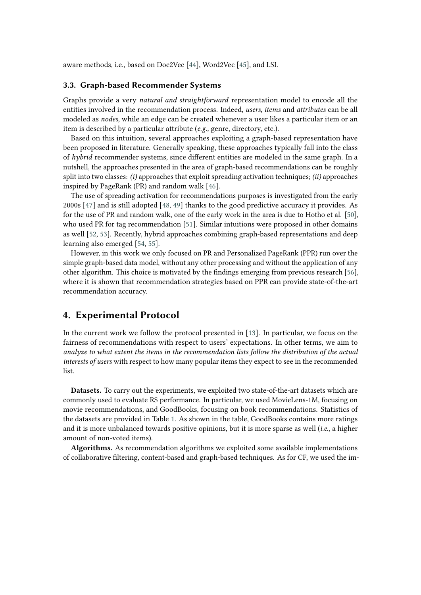aware methods, i.e., based on Doc2Vec [\[44\]](#page-13-12), Word2Vec [\[45\]](#page-13-13), and LSI.

#### **3.3. Graph-based Recommender Systems**

Graphs provide a very *natural and straightforward* representation model to encode all the entities involved in the recommendation process. Indeed, *users*, *items* and *attributes* can be all modeled as *nodes*, while an edge can be created whenever a user likes a particular item or an item is described by a particular attribute (*e.g.,* genre, directory, etc.).

Based on this intuition, several approaches exploiting a graph-based representation have been proposed in literature. Generally speaking, these approaches typically fall into the class of *hybrid* recommender systems, since different entities are modeled in the same graph. In a nutshell, the approaches presented in the area of graph-based recommendations can be roughly split into two classes: *(i)* approaches that exploit spreading activation techniques; *(ii)* approaches inspired by PageRank (PR) and random walk [\[46\]](#page-13-14).

The use of spreading activation for recommendations purposes is investigated from the early 2000s [\[47\]](#page-13-15) and is still adopted [\[48,](#page-13-16) [49\]](#page-13-17) thanks to the good predictive accuracy it provides. As for the use of PR and random walk, one of the early work in the area is due to Hotho et al. [\[50\]](#page-13-18), who used PR for tag recommendation [\[51\]](#page-14-0). Similar intuitions were proposed in other domains as well [\[52,](#page-14-1) [53\]](#page-14-2). Recently, hybrid approaches combining graph-based representations and deep learning also emerged [\[54,](#page-14-3) [55\]](#page-14-4).

However, in this work we only focused on PR and Personalized PageRank (PPR) run over the simple graph-based data model, without any other processing and without the application of any other algorithm. This choice is motivated by the findings emerging from previous research [\[56\]](#page-14-5), where it is shown that recommendation strategies based on PPR can provide state-of-the-art recommendation accuracy.

### <span id="page-4-0"></span>**4. Experimental Protocol**

In the current work we follow the protocol presented in [\[13\]](#page-12-0). In particular, we focus on the fairness of recommendations with respect to users' expectations. In other terms, we aim to *analyze to what extent the items in the recommendation lists follow the distribution of the actual interests of users* with respect to how many popular items they expect to see in the recommended list.

**Datasets.** To carry out the experiments, we exploited two state-of-the-art datasets which are commonly used to evaluate RS performance. In particular, we used MovieLens-1M, focusing on movie recommendations, and GoodBooks, focusing on book recommendations. Statistics of the datasets are provided in Table [1.](#page-5-0) As shown in the table, GoodBooks contains more ratings and it is more unbalanced towards positive opinions, but it is more sparse as well (*i.e.*, a higher amount of non-voted items).

**Algorithms.** As recommendation algorithms we exploited some available implementations of collaborative filtering, content-based and graph-based techniques. As for CF, we used the im-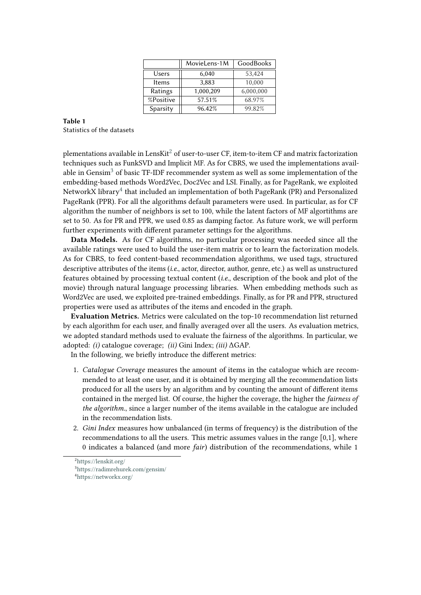<span id="page-5-0"></span>

|           | MovieLens-1M | <b>GoodBooks</b> |  |
|-----------|--------------|------------------|--|
| Users     | 6,040        | 53,424           |  |
| Items     | 3,883        | 10,000           |  |
| Ratings   | 1,000,209    | 6,000,000        |  |
| %Positive | 57.51%       | 68.97%           |  |
| Sparsity  | 96.42%       | 99.82%           |  |

### **Table 1** Statistics of the datasets

plementations available in LensKit<sup>[2](#page-5-1)</sup> of user-to-user CF, item-to-item CF and matrix factorization techniques such as FunkSVD and Implicit MF. As for CBRS, we used the implementations avail-able in Gensim<sup>[3](#page-5-2)</sup> of basic TF-IDF recommender system as well as some implementation of the embedding-based methods Word2Vec, Doc2Vec and LSI. Finally, as for PageRank, we exploited NetworkX library $^4$  $^4$  that included an implementation of both PageRank (PR) and Personalized PageRank (PPR). For all the algorithms default parameters were used. In particular, as for CF algorithm the number of neighbors is set to 100, while the latent factors of MF algortithms are set to 50. As for PR and PPR, we used 0.85 as damping factor. As future work, we will perform further experiments with different parameter settings for the algorithms.

**Data Models.** As for CF algorithms, no particular processing was needed since all the available ratings were used to build the user-item matrix or to learn the factorization models. As for CBRS, to feed content-based recommendation algorithms, we used tags, structured descriptive attributes of the items (*i.e.*, actor, director, author, genre, etc.) as well as unstructured features obtained by processing textual content (*i.e.*, description of the book and plot of the movie) through natural language processing libraries. When embedding methods such as Word2Vec are used, we exploited pre-trained embeddings. Finally, as for PR and PPR, structured properties were used as attributes of the items and encoded in the graph.

**Evaluation Metrics.** Metrics were calculated on the top-10 recommendation list returned by each algorithm for each user, and finally averaged over all the users. As evaluation metrics, we adopted standard methods used to evaluate the fairness of the algorithms. In particular, we adopted: *(i)* catalogue coverage; *(ii)* Gini Index; *(iii)* ΔGAP.

In the following, we briefly introduce the different metrics:

- 1. *Catalogue Coverage* measures the amount of items in the catalogue which are recommended to at least one user, and it is obtained by merging all the recommendation lists produced for all the users by an algorithm and by counting the amount of different items contained in the merged list. Of course, the higher the coverage, the higher the *fairness of the algorithm.*, since a larger number of the items available in the catalogue are included in the recommendation lists.
- 2. *Gini Index* measures how unbalanced (in terms of frequency) is the distribution of the recommendations to all the users. This metric assumes values in the range [0,1], where 0 indicates a balanced (and more *fair*) distribution of the recommendations, while 1

<span id="page-5-3"></span><span id="page-5-2"></span><span id="page-5-1"></span><sup>2</sup><https://lenskit.org/> <sup>3</sup><https://radimrehurek.com/gensim/> <sup>4</sup><https://networkx.org/>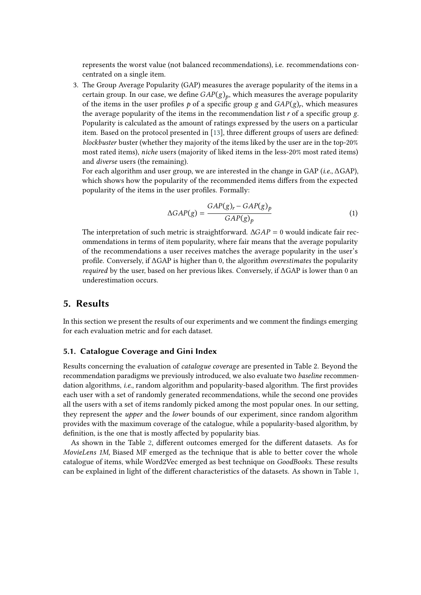represents the worst value (not balanced recommendations), i.e. recommendations concentrated on a single item.

3. The Group Average Popularity (GAP) measures the average popularity of the items in a certain group. In our case, we define  $GAP(g)<sub>p</sub>$ , which measures the average popularity of the items in the user profiles  $p$  of a specific group  $g$  and  $GAP(g)$ , which measures the average popularity of the items in the recommendation list  $r$  of a specific group  $g$ . Popularity is calculated as the amount of ratings expressed by the users on a particular item. Based on the protocol presented in [\[13\]](#page-12-0), three different groups of users are defined: *blockbuster* buster (whether they majority of the items liked by the user are in the top-20% most rated items), *niche* users (majority of liked items in the less-20% most rated items) and *diverse* users (the remaining).

For each algorithm and user group, we are interested in the change in GAP (*i.e.*, ΔGAP), which shows how the popularity of the recommended items differs from the expected popularity of the items in the user profiles. Formally:

$$
\Delta GAP(g) = \frac{GAP(g)_r - GAP(g)_p}{GAP(g)_p} \tag{1}
$$

The interpretation of such metric is straightforward.  $\Delta GAP = 0$  would indicate fair recommendations in terms of item popularity, where fair means that the average popularity of the recommendations a user receives matches the average popularity in the user's profile. Conversely, if ΔGAP is higher than 0, the algorithm *overestimates* the popularity *required* by the user, based on her previous likes. Conversely, if ΔGAP is lower than 0 an underestimation occurs.

### <span id="page-6-0"></span>**5. Results**

In this section we present the results of our experiments and we comment the findings emerging for each evaluation metric and for each dataset.

### **5.1. Catalogue Coverage and Gini Index**

Results concerning the evaluation of *catalogue coverage* are presented in Table 2. Beyond the recommendation paradigms we previously introduced, we also evaluate two *baseline* recommendation algorithms, *i.e.*, random algorithm and popularity-based algorithm. The first provides each user with a set of randomly generated recommendations, while the second one provides all the users with a set of items randomly picked among the most popular ones. In our setting, they represent the *upper* and the *lower* bounds of our experiment, since random algorithm provides with the maximum coverage of the catalogue, while a popularity-based algorithm, by definition, is the one that is mostly affected by popularity bias.

As shown in the Table [2,](#page-7-0) different outcomes emerged for the different datasets. As for *MovieLens 1M*, Biased MF emerged as the technique that is able to better cover the whole catalogue of items, while Word2Vec emerged as best technique on *GoodBooks*. These results can be explained in light of the different characteristics of the datasets. As shown in Table [1,](#page-5-0)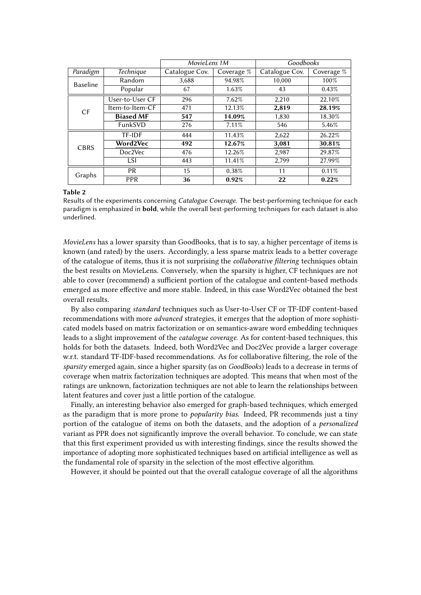<span id="page-7-0"></span>

|                 |                                    | MovieLens 1M   |              | Goodbooks      |            |
|-----------------|------------------------------------|----------------|--------------|----------------|------------|
| Paradigm        | Technique                          | Catalogue Cov. | Coverage $%$ | Catalogue Cov. | Coverage % |
| <b>Baseline</b> | Random                             | 3,688          | 94.98%       | 10,000         | 100%       |
|                 | Popular                            | 67             | 1.63%        | 43             | 0.43%      |
| CF              | User-to-User CF                    | 296            | 7.62%        | 2,210          | 22.10%     |
|                 | Item-to-Item-CF                    | 471            | 12.13%       | 2,819          | 28.19%     |
|                 | <b>Biased MF</b>                   | 547            | 14.09%       | 1,830          | 18.30%     |
|                 | FunkSVD                            | 276            | 7.11\%       | 546            | 5.46%      |
|                 | TF-IDF                             | 444            | 11.43%       | 2,622          | 26.22%     |
| CBRS            | Word2Vec<br>492<br>12.67%<br>3,081 |                | 30.81%       |                |            |
|                 | Doc2Vec                            | 476            | 12.26%       | 2,987          | 29.87%     |
|                 | LSI                                | 443            | 11.41%       | 2,799          | 27.99%     |
| Graphs          | <b>PR</b>                          | 15             | 0.38%        | 11             | 0.11%      |
|                 | <b>PPR</b>                         | 36             | 0.92%        | 22             | 0.22%      |

#### **Table 2**

Results of the experiments concerning *Catalogue Coverage*. The best-performing technique for each paradigm is emphasized in **bold**, while the overall best-performing techniques for each dataset is also underlined.

*MovieLens* has a lower sparsity than GoodBooks, that is to say, a higher percentage of items is known (and rated) by the users. Accordingly, a less sparse matrix leads to a better coverage of the catalogue of items, thus it is not surprising the *collaborative filtering* techniques obtain the best results on MovieLens. Conversely, when the sparsity is higher, CF techniques are not able to cover (recommend) a sufficient portion of the catalogue and content-based methods emerged as more effective and more stable. Indeed, in this case Word2Vec obtained the best overall results.

By also comparing *standard* techniques such as User-to-User CF or TF-IDF content-based recommendations with more *advanced* strategies, it emerges that the adoption of more sophisticated models based on matrix factorization or on semantics-aware word embedding techniques leads to a slight improvement of the *catalogue coverage*. As for content-based techniques, this holds for both the datasets. Indeed, both Word2Vec and Doc2Vec provide a larger coverage w.r.t. standard TF-IDF-based recommendations. As for collaborative filtering, the role of the *sparsity* emerged again, since a higher sparsity (as on *GoodBooks*) leads to a decrease in terms of coverage when matrix factorization techniques are adopted. This means that when most of the ratings are unknown, factorization techniques are not able to learn the relationships between latent features and cover just a little portion of the catalogue.

Finally, an interesting behavior also emerged for graph-based techniques, which emerged as the paradigm that is more prone to *popularity bias*. Indeed, PR recommends just a tiny portion of the catalogue of items on both the datasets, and the adoption of a *personalized* variant as PPR does not significantly improve the overall behavior. To conclude, we can state that this first experiment provided us with interesting findings, since the results showed the importance of adopting more sophisticated techniques based on artificial intelligence as well as the fundamental role of sparsity in the selection of the most effective algorithm.

However, it should be pointed out that the overall catalogue coverage of all the algorithms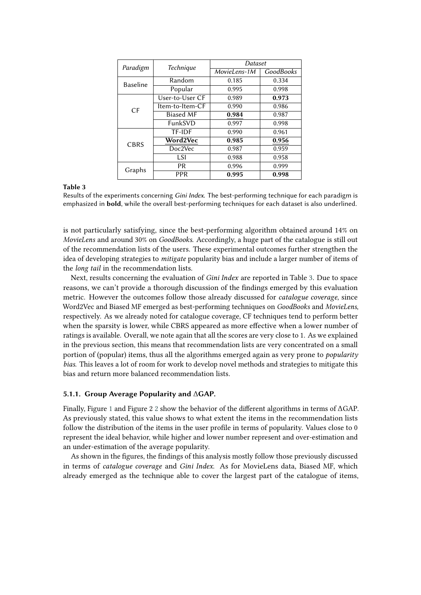<span id="page-8-0"></span>

| Paradigm        | <b>Technique</b> | Dataset      |                  |  |
|-----------------|------------------|--------------|------------------|--|
|                 |                  | MovieLens-1M | <b>GoodBooks</b> |  |
| <b>Baseline</b> | Random           | 0.185        | 0.334            |  |
|                 | Popular          | 0.995        | 0.998            |  |
| CF              | User-to-User CF  | 0.989        | 0.973            |  |
|                 | Item-to-Item-CF  | 0.990        | 0.986            |  |
|                 | <b>Biased MF</b> | 0.984        | 0.987            |  |
|                 | FunkSVD          | 0.997        | 0.998            |  |
| <b>CBRS</b>     | <b>TF-IDF</b>    | 0.990        | 0.961            |  |
|                 | Word2Vec         | 0.985        | 0.956            |  |
|                 | Doc2Vec          | 0.987        | 0.959            |  |
|                 | LSI              | 0.988        | 0.958            |  |
| Graphs          | <b>PR</b>        | 0.996        | 0.999            |  |
|                 | PPR              | 0.995        | 0.998            |  |

#### **Table 3**

Results of the experiments concerning *Gini Index*. The best-performing technique for each paradigm is emphasized in **bold**, while the overall best-performing techniques for each dataset is also underlined.

is not particularly satisfying, since the best-performing algorithm obtained around 14% on *MovieLens* and around 30% on *GoodBooks*. Accordingly, a huge part of the catalogue is still out of the recommendation lists of the users. These experimental outcomes further strengthen the idea of developing strategies to *mitigate* popularity bias and include a larger number of items of the *long tail* in the recommendation lists.

Next, results concerning the evaluation of *Gini Index* are reported in Table [3.](#page-8-0) Due to space reasons, we can't provide a thorough discussion of the findings emerged by this evaluation metric. However the outcomes follow those already discussed for *catalogue coverage*, since Word2Vec and Biased MF emerged as best-performing techniques on *GoodBooks* and *MovieLens*, respectively. As we already noted for catalogue coverage, CF techniques tend to perform better when the sparsity is lower, while CBRS appeared as more effective when a lower number of ratings is available. Overall, we note again that all the scores are very close to 1. As we explained in the previous section, this means that recommendation lists are very concentrated on a small portion of (popular) items, thus all the algorithms emerged again as very prone to *popularity bias*. This leaves a lot of room for work to develop novel methods and strategies to mitigate this bias and return more balanced recommendation lists.

### **5.1.1. Group Average Popularity and** Δ**GAP.**

Finally, Figure [1](#page-9-0) and Figure 2 [2](#page-10-1) show the behavior of the different algorithms in terms of ΔGAP. As previously stated, this value shows to what extent the items in the recommendation lists follow the distribution of the items in the user profile in terms of popularity. Values close to 0 represent the ideal behavior, while higher and lower number represent and over-estimation and an under-estimation of the average popularity.

As shown in the figures, the findings of this analysis mostly follow those previously discussed in terms of *catalogue coverage* and *Gini Index*. As for MovieLens data, Biased MF, which already emerged as the technique able to cover the largest part of the catalogue of items,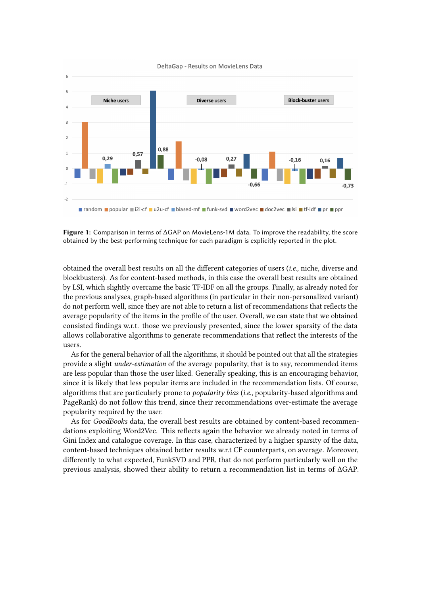

<span id="page-9-0"></span>DeltaGap - Results on MovieLens Data

**Figure 1:** Comparison in terms of ΔGAP on MovieLens-1M data. To improve the readability, the score obtained by the best-performing technique for each paradigm is explicitly reported in the plot.

obtained the overall best results on all the different categories of users (*i.e.,* niche, diverse and blockbusters). As for content-based methods, in this case the overall best results are obtained by LSI, which slightly overcame the basic TF-IDF on all the groups. Finally, as already noted for the previous analyses, graph-based algorithms (in particular in their non-personalized variant) do not perform well, since they are not able to return a list of recommendations that reflects the average popularity of the items in the profile of the user. Overall, we can state that we obtained consisted findings w.r.t. those we previously presented, since the lower sparsity of the data allows collaborative algorithms to generate recommendations that reflect the interests of the users.

As for the general behavior of all the algorithms, it should be pointed out that all the strategies provide a slight *under-estimation* of the average popularity, that is to say, recommended items are less popular than those the user liked. Generally speaking, this is an encouraging behavior, since it is likely that less popular items are included in the recommendation lists. Of course, algorithms that are particularly prone to *popularity bias* (*i.e.*, popularity-based algorithms and PageRank) do not follow this trend, since their recommendations over-estimate the average popularity required by the user.

As for *GoodBooks* data, the overall best results are obtained by content-based recommendations exploiting Word2Vec. This reflects again the behavior we already noted in terms of Gini Index and catalogue coverage. In this case, characterized by a higher sparsity of the data, content-based techniques obtained better results w.r.t CF counterparts, on average. Moreover, differently to what expected, FunkSVD and PPR, that do not perform particularly well on the previous analysis, showed their ability to return a recommendation list in terms of ΔGAP.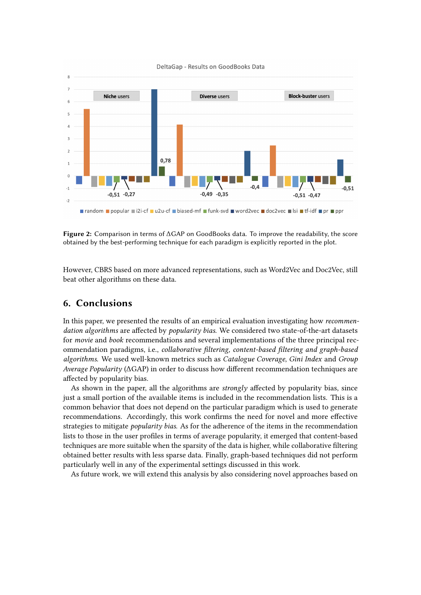

<span id="page-10-1"></span>DeltaGap - Results on GoodBooks Data

**Figure 2:** Comparison in terms of ΔGAP on GoodBooks data. To improve the readability, the score obtained by the best-performing technique for each paradigm is explicitly reported in the plot.

However, CBRS based on more advanced representations, such as Word2Vec and Doc2Vec, still beat other algorithms on these data.

# <span id="page-10-0"></span>**6. Conclusions**

In this paper, we presented the results of an empirical evaluation investigating how *recommendation algorithms* are affected by *popularity bias*. We considered two state-of-the-art datasets for *movie* and *book* recommendations and several implementations of the three principal recommendation paradigms, i.e., *collaborative filtering, content-based filtering and graph-based algorithms*. We used well-known metrics such as *Catalogue Coverage*, *Gini Index* and *Group Average Popularity* (ΔGAP) in order to discuss how different recommendation techniques are affected by popularity bias.

As shown in the paper, all the algorithms are *strongly* affected by popularity bias, since just a small portion of the available items is included in the recommendation lists. This is a common behavior that does not depend on the particular paradigm which is used to generate recommendations. Accordingly, this work confirms the need for novel and more effective strategies to mitigate *popularity bias*. As for the adherence of the items in the recommendation lists to those in the user profiles in terms of average popularity, it emerged that content-based techniques are more suitable when the sparsity of the data is higher, while collaborative filtering obtained better results with less sparse data. Finally, graph-based techniques did not perform particularly well in any of the experimental settings discussed in this work.

As future work, we will extend this analysis by also considering novel approaches based on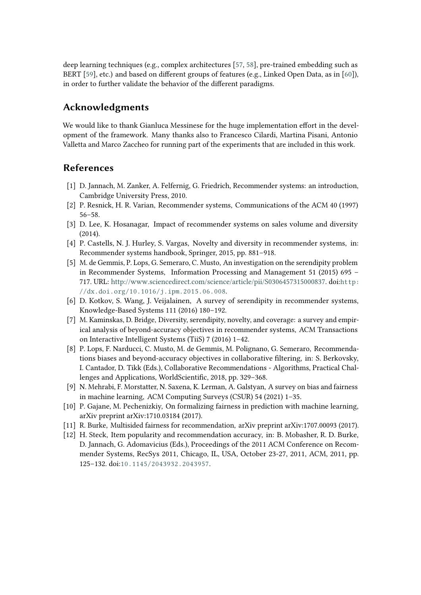deep learning techniques (e.g., complex architectures [\[57,](#page-14-6) [58\]](#page-14-7), pre-trained embedding such as BERT [\[59\]](#page-14-8), etc.) and based on different groups of features (e.g., Linked Open Data, as in [\[60\]](#page-14-9)), in order to further validate the behavior of the different paradigms.

# **Acknowledgments**

We would like to thank Gianluca Messinese for the huge implementation effort in the development of the framework. Many thanks also to Francesco Cilardi, Martina Pisani, Antonio Valletta and Marco Zaccheo for running part of the experiments that are included in this work.

# **References**

- <span id="page-11-9"></span>[1] D. Jannach, M. Zanker, A. Felfernig, G. Friedrich, Recommender systems: an introduction, Cambridge University Press, 2010.
- [2] P. Resnick, H. R. Varian, Recommender systems, Communications of the ACM 40 (1997) 56–58.
- [3] D. Lee, K. Hosanagar, Impact of recommender systems on sales volume and diversity (2014).
- <span id="page-11-0"></span>[4] P. Castells, N. J. Hurley, S. Vargas, Novelty and diversity in recommender systems, in: Recommender systems handbook, Springer, 2015, pp. 881–918.
- <span id="page-11-1"></span>[5] M. de Gemmis, P. Lops, G. Semeraro, C. Musto, An investigation on the serendipity problem in Recommender Systems, Information Processing and Management 51 (2015) 695 – 717. URL: [http://www.sciencedirect.com/science/article/pii/S0306457315000837.](http://www.sciencedirect.com/science/article/pii/S0306457315000837) doi:[http:](http://dx.doi.org/http://dx.doi.org/10.1016/j.ipm.2015.06.008) [//dx.doi.org/10.1016/j.ipm.2015.06.008](http://dx.doi.org/http://dx.doi.org/10.1016/j.ipm.2015.06.008).
- <span id="page-11-2"></span>[6] D. Kotkov, S. Wang, J. Veijalainen, A survey of serendipity in recommender systems, Knowledge-Based Systems 111 (2016) 180–192.
- <span id="page-11-3"></span>[7] M. Kaminskas, D. Bridge, Diversity, serendipity, novelty, and coverage: a survey and empirical analysis of beyond-accuracy objectives in recommender systems, ACM Transactions on Interactive Intelligent Systems (TiiS) 7 (2016) 1–42.
- <span id="page-11-4"></span>[8] P. Lops, F. Narducci, C. Musto, M. de Gemmis, M. Polignano, G. Semeraro, Recommendations biases and beyond-accuracy objectives in collaborative filtering, in: S. Berkovsky, I. Cantador, D. Tikk (Eds.), Collaborative Recommendations - Algorithms, Practical Challenges and Applications, WorldScientific, 2018, pp. 329–368.
- <span id="page-11-5"></span>[9] N. Mehrabi, F. Morstatter, N. Saxena, K. Lerman, A. Galstyan, A survey on bias and fairness in machine learning, ACM Computing Surveys (CSUR) 54 (2021) 1–35.
- <span id="page-11-6"></span>[10] P. Gajane, M. Pechenizkiy, On formalizing fairness in prediction with machine learning, arXiv preprint arXiv:1710.03184 (2017).
- <span id="page-11-7"></span>[11] R. Burke, Multisided fairness for recommendation, arXiv preprint arXiv:1707.00093 (2017).
- <span id="page-11-8"></span>[12] H. Steck, Item popularity and recommendation accuracy, in: B. Mobasher, R. D. Burke, D. Jannach, G. Adomavicius (Eds.), Proceedings of the 2011 ACM Conference on Recommender Systems, RecSys 2011, Chicago, IL, USA, October 23-27, 2011, ACM, 2011, pp. 125–132. doi:[10.1145/2043932.2043957](http://dx.doi.org/10.1145/2043932.2043957).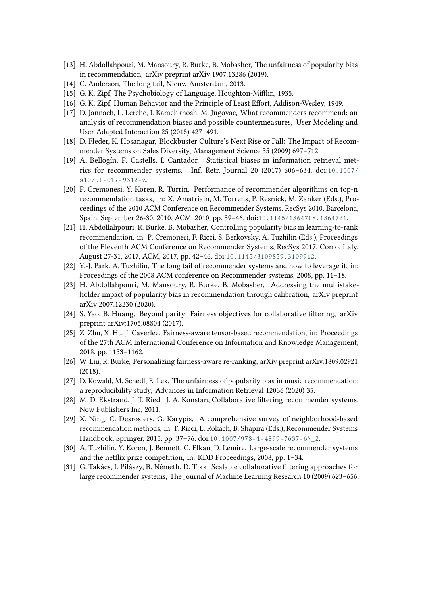- <span id="page-12-0"></span>[13] H. Abdollahpouri, M. Mansoury, R. Burke, B. Mobasher, The unfairness of popularity bias in recommendation, arXiv preprint arXiv:1907.13286 (2019).
- <span id="page-12-1"></span>[14] C. Anderson, The long tail, Nieuw Amsterdam, 2013.
- <span id="page-12-2"></span>[15] G. K. Zipf, The Psychobiology of Language, Houghton-Mifflin, 1935.
- <span id="page-12-3"></span>[16] G. K. Zipf, Human Behavior and the Principle of Least Effort, Addison-Wesley, 1949.
- <span id="page-12-4"></span>[17] D. Jannach, L. Lerche, I. Kamehkhosh, M. Jugovac, What recommenders recommend: an analysis of recommendation biases and possible countermeasures, User Modeling and User-Adapted Interaction 25 (2015) 427–491.
- <span id="page-12-5"></span>[18] D. Fleder, K. Hosanagar, Blockbuster Culture's Next Rise or Fall: The Impact of Recommender Systems on Sales Diversity, Management Science 55 (2009) 697–712.
- <span id="page-12-6"></span>[19] A. Bellogín, P. Castells, I. Cantador, Statistical biases in information retrieval metrics for recommender systems, Inf. Retr. Journal 20 (2017) 606–634. doi:[10.1007/](http://dx.doi.org/10.1007/s10791-017-9312-z)  $s10791 - 017 - 9312 - z.$
- <span id="page-12-7"></span>[20] P. Cremonesi, Y. Koren, R. Turrin, Performance of recommender algorithms on top-n recommendation tasks, in: X. Amatriain, M. Torrens, P. Resnick, M. Zanker (Eds.), Proceedings of the 2010 ACM Conference on Recommender Systems, RecSys 2010, Barcelona, Spain, September 26-30, 2010, ACM, 2010, pp. 39–46. doi:[10.1145/1864708.1864721](http://dx.doi.org/10.1145/1864708.1864721).
- <span id="page-12-8"></span>[21] H. Abdollahpouri, R. Burke, B. Mobasher, Controlling popularity bias in learning-to-rank recommendation, in: P. Cremonesi, F. Ricci, S. Berkovsky, A. Tuzhilin (Eds.), Proceedings of the Eleventh ACM Conference on Recommender Systems, RecSys 2017, Como, Italy, August 27-31, 2017, ACM, 2017, pp. 42–46. doi:[10.1145/3109859.3109912](http://dx.doi.org/10.1145/3109859.3109912).
- <span id="page-12-9"></span>[22] Y.-J. Park, A. Tuzhilin, The long tail of recommender systems and how to leverage it, in: Proceedings of the 2008 ACM conference on Recommender systems, 2008, pp. 11–18.
- <span id="page-12-10"></span>[23] H. Abdollahpouri, M. Mansoury, R. Burke, B. Mobasher, Addressing the multistakeholder impact of popularity bias in recommendation through calibration, arXiv preprint arXiv:2007.12230 (2020).
- <span id="page-12-11"></span>[24] S. Yao, B. Huang, Beyond parity: Fairness objectives for collaborative filtering, arXiv preprint arXiv:1705.08804 (2017).
- <span id="page-12-12"></span>[25] Z. Zhu, X. Hu, J. Caverlee, Fairness-aware tensor-based recommendation, in: Proceedings of the 27th ACM International Conference on Information and Knowledge Management, 2018, pp. 1153–1162.
- <span id="page-12-13"></span>[26] W. Liu, R. Burke, Personalizing fairness-aware re-ranking, arXiv preprint arXiv:1809.02921 (2018).
- <span id="page-12-14"></span>[27] D. Kowald, M. Schedl, E. Lex, The unfairness of popularity bias in music recommendation: a reproducibility study, Advances in Information Retrieval 12036 (2020) 35.
- <span id="page-12-15"></span>[28] M. D. Ekstrand, J. T. Riedl, J. A. Konstan, Collaborative filtering recommender systems, Now Publishers Inc, 2011.
- <span id="page-12-16"></span>[29] X. Ning, C. Desrosiers, G. Karypis, A comprehensive survey of neighborhood-based recommendation methods, in: F. Ricci, L. Rokach, B. Shapira (Eds.), Recommender Systems Handbook, Springer, 2015, pp. 37-76. doi:10.1007/978-1-4899-7637-6\2.
- <span id="page-12-17"></span>[30] A. Tuzhilin, Y. Koren, J. Bennett, C. Elkan, D. Lemire, Large-scale recommender systems and the netflix prize competition, in: KDD Proceedings, 2008, pp. 1–34.
- <span id="page-12-18"></span>[31] G. Takács, I. Pilászy, B. Németh, D. Tikk, Scalable collaborative filtering approaches for large recommender systems, The Journal of Machine Learning Research 10 (2009) 623–656.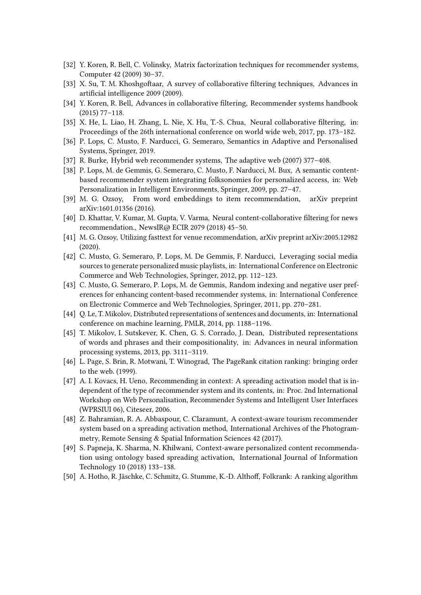- <span id="page-13-0"></span>[32] Y. Koren, R. Bell, C. Volinsky, Matrix factorization techniques for recommender systems, Computer 42 (2009) 30–37.
- <span id="page-13-1"></span>[33] X. Su, T. M. Khoshgoftaar, A survey of collaborative filtering techniques, Advances in artificial intelligence 2009 (2009).
- <span id="page-13-2"></span>[34] Y. Koren, R. Bell, Advances in collaborative filtering, Recommender systems handbook (2015) 77–118.
- <span id="page-13-3"></span>[35] X. He, L. Liao, H. Zhang, L. Nie, X. Hu, T.-S. Chua, Neural collaborative filtering, in: Proceedings of the 26th international conference on world wide web, 2017, pp. 173–182.
- <span id="page-13-4"></span>[36] P. Lops, C. Musto, F. Narducci, G. Semeraro, Semantics in Adaptive and Personalised Systems, Springer, 2019.
- <span id="page-13-5"></span>[37] R. Burke, Hybrid web recommender systems, The adaptive web (2007) 377–408.
- <span id="page-13-6"></span>[38] P. Lops, M. de Gemmis, G. Semeraro, C. Musto, F. Narducci, M. Bux, A semantic contentbased recommender system integrating folksonomies for personalized access, in: Web Personalization in Intelligent Environments, Springer, 2009, pp. 27–47.
- <span id="page-13-7"></span>[39] M. G. Ozsoy, From word embeddings to item recommendation, arXiv preprint arXiv:1601.01356 (2016).
- <span id="page-13-8"></span>[40] D. Khattar, V. Kumar, M. Gupta, V. Varma, Neural content-collaborative filtering for news recommendation., NewsIR@ ECIR 2079 (2018) 45–50.
- <span id="page-13-9"></span>[41] M. G. Ozsoy, Utilizing fasttext for venue recommendation, arXiv preprint arXiv:2005.12982 (2020).
- <span id="page-13-10"></span>[42] C. Musto, G. Semeraro, P. Lops, M. De Gemmis, F. Narducci, Leveraging social media sources to generate personalized music playlists, in: International Conference on Electronic Commerce and Web Technologies, Springer, 2012, pp. 112–123.
- <span id="page-13-11"></span>[43] C. Musto, G. Semeraro, P. Lops, M. de Gemmis, Random indexing and negative user preferences for enhancing content-based recommender systems, in: International Conference on Electronic Commerce and Web Technologies, Springer, 2011, pp. 270–281.
- <span id="page-13-12"></span>[44] Q. Le, T. Mikolov, Distributed representations of sentences and documents, in: International conference on machine learning, PMLR, 2014, pp. 1188–1196.
- <span id="page-13-13"></span>[45] T. Mikolov, I. Sutskever, K. Chen, G. S. Corrado, J. Dean, Distributed representations of words and phrases and their compositionality, in: Advances in neural information processing systems, 2013, pp. 3111–3119.
- <span id="page-13-14"></span>[46] L. Page, S. Brin, R. Motwani, T. Winograd, The PageRank citation ranking: bringing order to the web. (1999).
- <span id="page-13-15"></span>[47] A. I. Kovacs, H. Ueno, Recommending in context: A spreading activation model that is independent of the type of recommender system and its contents, in: Proc. 2nd International Workshop on Web Personalisation, Recommender Systems and Intelligent User Interfaces (WPRSIUI 06), Citeseer, 2006.
- <span id="page-13-16"></span>[48] Z. Bahramian, R. A. Abbaspour, C. Claramunt, A context-aware tourism recommender system based on a spreading activation method, International Archives of the Photogrammetry, Remote Sensing & Spatial Information Sciences 42 (2017).
- <span id="page-13-17"></span>[49] S. Papneja, K. Sharma, N. Khilwani, Context-aware personalized content recommendation using ontology based spreading activation, International Journal of Information Technology 10 (2018) 133–138.
- <span id="page-13-18"></span>[50] A. Hotho, R. Jäschke, C. Schmitz, G. Stumme, K.-D. Althoff, Folkrank: A ranking algorithm